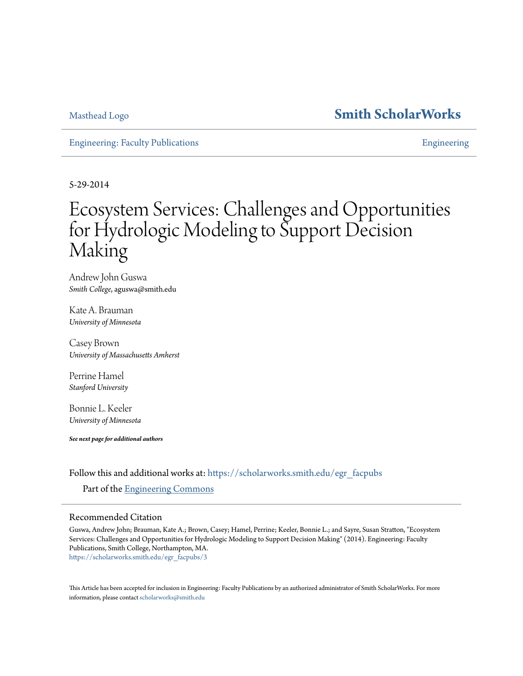### [Masthead Logo](http://www.smith.edu/?utm_source=scholarworks.smith.edu%2Fegr_facpubs%2F3&utm_medium=PDF&utm_campaign=PDFCoverPages) **[Smith ScholarWorks](https://scholarworks.smith.edu?utm_source=scholarworks.smith.edu%2Fegr_facpubs%2F3&utm_medium=PDF&utm_campaign=PDFCoverPages)**

[Engineering: Faculty Publications](https://scholarworks.smith.edu/egr_facpubs?utm_source=scholarworks.smith.edu%2Fegr_facpubs%2F3&utm_medium=PDF&utm_campaign=PDFCoverPages) **[Engineering](https://scholarworks.smith.edu/egr?utm_source=scholarworks.smith.edu%2Fegr_facpubs%2F3&utm_medium=PDF&utm_campaign=PDFCoverPages)** Engineering **Engineering** 

5-29-2014

## Ecosystem Services: Challenges and Opportunities for Hydrologic Modeling to Support Decision Making

Andrew John Guswa *Smith College*, aguswa@smith.edu

Kate A. Brauman *University of Minnesota*

Casey Brown *University of Massachusetts Amherst*

Perrine Hamel *Stanford University*

Bonnie L. Keeler *University of Minnesota*

*See next page for additional authors*

Follow this and additional works at: [https://scholarworks.smith.edu/egr\\_facpubs](https://scholarworks.smith.edu/egr_facpubs?utm_source=scholarworks.smith.edu%2Fegr_facpubs%2F3&utm_medium=PDF&utm_campaign=PDFCoverPages)

Part of the [Engineering Commons](http://network.bepress.com/hgg/discipline/217?utm_source=scholarworks.smith.edu%2Fegr_facpubs%2F3&utm_medium=PDF&utm_campaign=PDFCoverPages)

#### Recommended Citation

Guswa, Andrew John; Brauman, Kate A.; Brown, Casey; Hamel, Perrine; Keeler, Bonnie L.; and Sayre, Susan Stratton, "Ecosystem Services: Challenges and Opportunities for Hydrologic Modeling to Support Decision Making" (2014). Engineering: Faculty Publications, Smith College, Northampton, MA. [https://scholarworks.smith.edu/egr\\_facpubs/3](https://scholarworks.smith.edu/egr_facpubs/3?utm_source=scholarworks.smith.edu%2Fegr_facpubs%2F3&utm_medium=PDF&utm_campaign=PDFCoverPages)

This Article has been accepted for inclusion in Engineering: Faculty Publications by an authorized administrator of Smith ScholarWorks. For more information, please contact [scholarworks@smith.edu](mailto:scholarworks@smith.edu)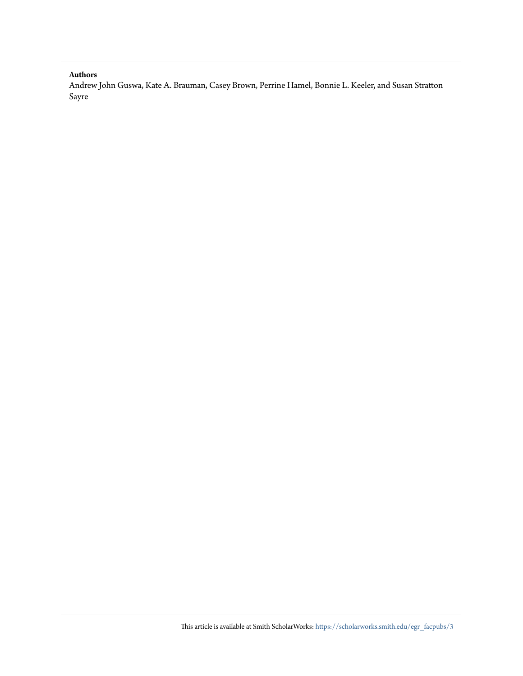#### **Authors**

Andrew John Guswa, Kate A. Brauman, Casey Brown, Perrine Hamel, Bonnie L. Keeler, and Susan Stratton Sayre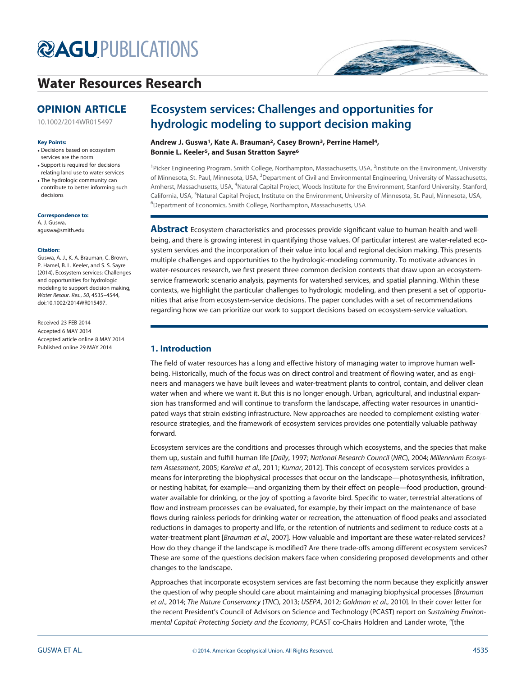# **@AGU[PUBLICATIONS](http://publications.agu.org/)**

## [Water Resources Research](http://onlinelibrary.wiley.com/journal/10.1002/(ISSN)1944-7973/)

### OPINION ARTICLE

[10.1002/2014WR015497](http://dx.doi.org/10.1002/2014WR015497)

#### Key Points:

- Decisions based on ecosystem services are the norm
- Support is required for decisions relating land use to water services
- The hydrologic community can contribute to better informing such decisions

#### Correspondence to:

A. J. Guswa, aguswa@smith.edu

#### Citation:

Guswa, A. J., K. A. Brauman, C. Brown, P. Hamel, B. L. Keeler, and S. S. Sayre (2014), Ecosystem services: Challenges and opportunities for hydrologic modeling to support decision making, Water Resour. Res., 50, 4535–4544, doi:10.1002/2014WR015497.

Received 23 FEB 2014 Accepted 6 MAY 2014 Accepted article online 8 MAY 2014 Published online 29 MAY 2014

## Ecosystem services: Challenges and opportunities for hydrologic modeling to support decision making

Andrew J. Guswa<sup>1</sup>, Kate A. Brauman<sup>2</sup>, Casey Brown<sup>3</sup>, Perrine Hamel<sup>4</sup>, Bonnie L. Keeler<sup>5</sup>, and Susan Stratton Sayre<sup>6</sup>

<sup>1</sup>Picker Engineering Program, Smith College, Northampton, Massachusetts, USA, <sup>2</sup>Institute on the Environment, University of Minnesota, St. Paul, Minnesota, USA, <sup>3</sup>Department of Civil and Environmental Engineering, University of Massachusetts, Amherst, Massachusetts, USA, <sup>4</sup>Natural Capital Project, Woods Institute for the Environment, Stanford University, Stanford, California, USA, <sup>5</sup>Natural Capital Project, Institute on the Environment, University of Minnesota, St. Paul, Minnesota, USA, <sup>6</sup>Department of Economics, Smith College, Northampton, Massachusetts, USA

Abstract Ecosystem characteristics and processes provide significant value to human health and wellbeing, and there is growing interest in quantifying those values. Of particular interest are water-related ecosystem services and the incorporation of their value into local and regional decision making. This presents multiple challenges and opportunities to the hydrologic-modeling community. To motivate advances in water-resources research, we first present three common decision contexts that draw upon an ecosystemservice framework: scenario analysis, payments for watershed services, and spatial planning. Within these contexts, we highlight the particular challenges to hydrologic modeling, and then present a set of opportunities that arise from ecosystem-service decisions. The paper concludes with a set of recommendations regarding how we can prioritize our work to support decisions based on ecosystem-service valuation.

### 1. Introduction

The field of water resources has a long and effective history of managing water to improve human wellbeing. Historically, much of the focus was on direct control and treatment of flowing water, and as engineers and managers we have built levees and water-treatment plants to control, contain, and deliver clean water when and where we want it. But this is no longer enough. Urban, agricultural, and industrial expansion has transformed and will continue to transform the landscape, affecting water resources in unanticipated ways that strain existing infrastructure. New approaches are needed to complement existing waterresource strategies, and the framework of ecosystem services provides one potentially valuable pathway forward.

Ecosystem services are the conditions and processes through which ecosystems, and the species that make them up, sustain and fulfill human life [Daily, 1997; National Research Council (NRC), 2004; Millennium Ecosystem Assessment, 2005; Kareiva et al., 2011; Kumar, 2012]. This concept of ecosystem services provides a means for interpreting the biophysical processes that occur on the landscape—photosynthesis, infiltration, or nesting habitat, for example—and organizing them by their effect on people—food production, groundwater available for drinking, or the joy of spotting a favorite bird. Specific to water, terrestrial alterations of flow and instream processes can be evaluated, for example, by their impact on the maintenance of base flows during rainless periods for drinking water or recreation, the attenuation of flood peaks and associated reductions in damages to property and life, or the retention of nutrients and sediment to reduce costs at a water-treatment plant [Brauman et al., 2007]. How valuable and important are these water-related services? How do they change if the landscape is modified? Are there trade-offs among different ecosystem services? These are some of the questions decision makers face when considering proposed developments and other changes to the landscape.

Approaches that incorporate ecosystem services are fast becoming the norm because they explicitly answer the question of why people should care about maintaining and managing biophysical processes [Brauman] et al., 2014; The Nature Conservancy (TNC), 2013; USEPA, 2012; Goldman et al., 2010]. In their cover letter for the recent President's Council of Advisors on Science and Technology (PCAST) report on Sustaining Environmental Capital: Protecting Society and the Economy, PCAST co-Chairs Holdren and Lander wrote, ''[the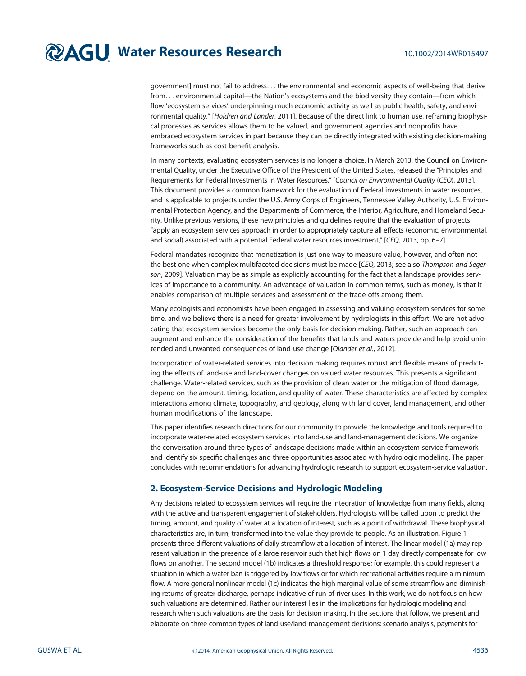government] must not fail to address... the environmental and economic aspects of well-being that derive from... environmental capital—the Nation's ecosystems and the biodiversity they contain—from which flow 'ecosystem services' underpinning much economic activity as well as public health, safety, and environmental quality," [Holdren and Lander, 2011]. Because of the direct link to human use, reframing biophysical processes as services allows them to be valued, and government agencies and nonprofits have embraced ecosystem services in part because they can be directly integrated with existing decision-making frameworks such as cost-benefit analysis.

In many contexts, evaluating ecosystem services is no longer a choice. In March 2013, the Council on Environmental Quality, under the Executive Office of the President of the United States, released the "Principles and Requirements for Federal Investments in Water Resources," [Council on Environmental Quality (CEQ), 2013]. This document provides a common framework for the evaluation of Federal investments in water resources, and is applicable to projects under the U.S. Army Corps of Engineers, Tennessee Valley Authority, U.S. Environmental Protection Agency, and the Departments of Commerce, the Interior, Agriculture, and Homeland Security. Unlike previous versions, these new principles and guidelines require that the evaluation of projects ''apply an ecosystem services approach in order to appropriately capture all effects (economic, environmental, and social) associated with a potential Federal water resources investment," [CEQ, 2013, pp. 6–7].

Federal mandates recognize that monetization is just one way to measure value, however, and often not the best one when complex multifaceted decisions must be made [CEQ, 2013; see also Thompson and Segerson, 2009]. Valuation may be as simple as explicitly accounting for the fact that a landscape provides services of importance to a community. An advantage of valuation in common terms, such as money, is that it enables comparison of multiple services and assessment of the trade-offs among them.

Many ecologists and economists have been engaged in assessing and valuing ecosystem services for some time, and we believe there is a need for greater involvement by hydrologists in this effort. We are not advocating that ecosystem services become the only basis for decision making. Rather, such an approach can augment and enhance the consideration of the benefits that lands and waters provide and help avoid unintended and unwanted consequences of land-use change [Olander et al., 2012].

Incorporation of water-related services into decision making requires robust and flexible means of predicting the effects of land-use and land-cover changes on valued water resources. This presents a significant challenge. Water-related services, such as the provision of clean water or the mitigation of flood damage, depend on the amount, timing, location, and quality of water. These characteristics are affected by complex interactions among climate, topography, and geology, along with land cover, land management, and other human modifications of the landscape.

This paper identifies research directions for our community to provide the knowledge and tools required to incorporate water-related ecosystem services into land-use and land-management decisions. We organize the conversation around three types of landscape decisions made within an ecosystem-service framework and identify six specific challenges and three opportunities associated with hydrologic modeling. The paper concludes with recommendations for advancing hydrologic research to support ecosystem-service valuation.

#### 2. Ecosystem-Service Decisions and Hydrologic Modeling

Any decisions related to ecosystem services will require the integration of knowledge from many fields, along with the active and transparent engagement of stakeholders. Hydrologists will be called upon to predict the timing, amount, and quality of water at a location of interest, such as a point of withdrawal. These biophysical characteristics are, in turn, transformed into the value they provide to people. As an illustration, Figure 1 presents three different valuations of daily streamflow at a location of interest. The linear model (1a) may represent valuation in the presence of a large reservoir such that high flows on 1 day directly compensate for low flows on another. The second model (1b) indicates a threshold response; for example, this could represent a situation in which a water ban is triggered by low flows or for which recreational activities require a minimum flow. A more general nonlinear model (1c) indicates the high marginal value of some streamflow and diminishing returns of greater discharge, perhaps indicative of run-of-river uses. In this work, we do not focus on how such valuations are determined. Rather our interest lies in the implications for hydrologic modeling and research when such valuations are the basis for decision making. In the sections that follow, we present and elaborate on three common types of land-use/land-management decisions: scenario analysis, payments for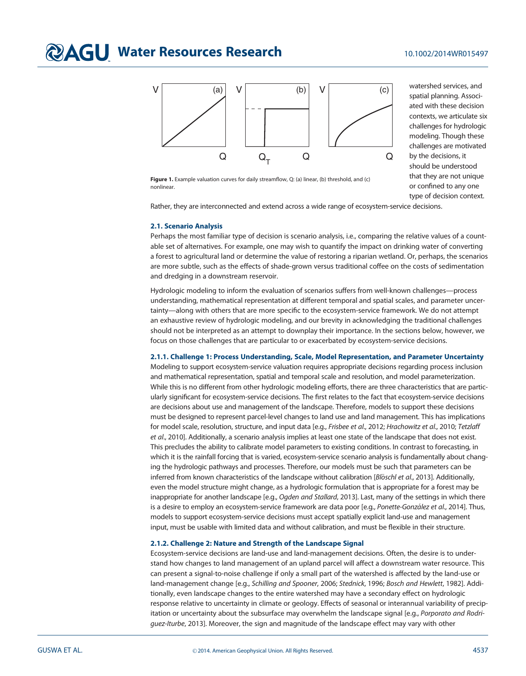## **@AGU Water Resources Research** 10.1002/2014WR015497



watershed services, and spatial planning. Associated with these decision contexts, we articulate six challenges for hydrologic modeling. Though these challenges are motivated by the decisions, it should be understood that they are not unique or confined to any one type of decision context.

Figure 1. Example valuation curves for daily streamflow, Q: (a) linear, (b) threshold, and (c) nonlinear.

Rather, they are interconnected and extend across a wide range of ecosystem-service decisions.

#### 2.1. Scenario Analysis

Perhaps the most familiar type of decision is scenario analysis, i.e., comparing the relative values of a countable set of alternatives. For example, one may wish to quantify the impact on drinking water of converting a forest to agricultural land or determine the value of restoring a riparian wetland. Or, perhaps, the scenarios are more subtle, such as the effects of shade-grown versus traditional coffee on the costs of sedimentation and dredging in a downstream reservoir.

Hydrologic modeling to inform the evaluation of scenarios suffers from well-known challenges—process understanding, mathematical representation at different temporal and spatial scales, and parameter uncertainty—along with others that are more specific to the ecosystem-service framework. We do not attempt an exhaustive review of hydrologic modeling, and our brevity in acknowledging the traditional challenges should not be interpreted as an attempt to downplay their importance. In the sections below, however, we focus on those challenges that are particular to or exacerbated by ecosystem-service decisions.

#### 2.1.1. Challenge 1: Process Understanding, Scale, Model Representation, and Parameter Uncertainty

Modeling to support ecosystem-service valuation requires appropriate decisions regarding process inclusion and mathematical representation, spatial and temporal scale and resolution, and model parameterization. While this is no different from other hydrologic modeling efforts, there are three characteristics that are particularly significant for ecosystem-service decisions. The first relates to the fact that ecosystem-service decisions are decisions about use and management of the landscape. Therefore, models to support these decisions must be designed to represent parcel-level changes to land use and land management. This has implications for model scale, resolution, structure, and input data [e.g., Frisbee et al., 2012; Hrachowitz et al., 2010; Tetzlaff et al., 2010]. Additionally, a scenario analysis implies at least one state of the landscape that does not exist. This precludes the ability to calibrate model parameters to existing conditions. In contrast to forecasting, in which it is the rainfall forcing that is varied, ecosystem-service scenario analysis is fundamentally about changing the hydrologic pathways and processes. Therefore, our models must be such that parameters can be inferred from known characteristics of the landscape without calibration [Blöschl et al., 2013]. Additionally, even the model structure might change, as a hydrologic formulation that is appropriate for a forest may be inappropriate for another landscape [e.g., Ogden and Stallard, 2013]. Last, many of the settings in which there is a desire to employ an ecosystem-service framework are data poor [e.g., Ponette-González et al., 2014]. Thus, models to support ecosystem-service decisions must accept spatially explicit land-use and management input, must be usable with limited data and without calibration, and must be flexible in their structure.

#### 2.1.2. Challenge 2: Nature and Strength of the Landscape Signal

Ecosystem-service decisions are land-use and land-management decisions. Often, the desire is to understand how changes to land management of an upland parcel will affect a downstream water resource. This can present a signal-to-noise challenge if only a small part of the watershed is affected by the land-use or land-management change [e.g., Schilling and Spooner, 2006; Stednick, 1996; Bosch and Hewlett, 1982]. Additionally, even landscape changes to the entire watershed may have a secondary effect on hydrologic response relative to uncertainty in climate or geology. Effects of seasonal or interannual variability of precipitation or uncertainty about the subsurface may overwhelm the landscape signal [e.g., Porporato and Rodriguez-Iturbe, 2013]. Moreover, the sign and magnitude of the landscape effect may vary with other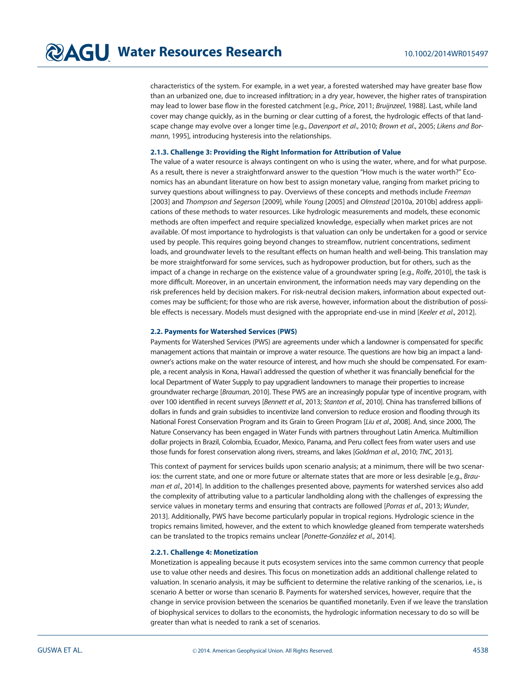characteristics of the system. For example, in a wet year, a forested watershed may have greater base flow than an urbanized one, due to increased infiltration; in a dry year, however, the higher rates of transpiration may lead to lower base flow in the forested catchment [e.g., Price, 2011; Bruijnzeel, 1988]. Last, while land cover may change quickly, as in the burning or clear cutting of a forest, the hydrologic effects of that landscape change may evolve over a longer time [e.g., Davenport et al., 2010; Brown et al., 2005; Likens and Bormann, 1995], introducing hysteresis into the relationships.

#### 2.1.3. Challenge 3: Providing the Right Information for Attribution of Value

The value of a water resource is always contingent on who is using the water, where, and for what purpose. As a result, there is never a straightforward answer to the question ''How much is the water worth?'' Economics has an abundant literature on how best to assign monetary value, ranging from market pricing to survey questions about willingness to pay. Overviews of these concepts and methods include Freeman [2003] and Thompson and Segerson [2009], while Young [2005] and Olmstead [2010a, 2010b] address applications of these methods to water resources. Like hydrologic measurements and models, these economic methods are often imperfect and require specialized knowledge, especially when market prices are not available. Of most importance to hydrologists is that valuation can only be undertaken for a good or service used by people. This requires going beyond changes to streamflow, nutrient concentrations, sediment loads, and groundwater levels to the resultant effects on human health and well-being. This translation may be more straightforward for some services, such as hydropower production, but for others, such as the impact of a change in recharge on the existence value of a groundwater spring [e.g., Rolfe, 2010], the task is more difficult. Moreover, in an uncertain environment, the information needs may vary depending on the risk preferences held by decision makers. For risk-neutral decision makers, information about expected outcomes may be sufficient; for those who are risk averse, however, information about the distribution of possible effects is necessary. Models must designed with the appropriate end-use in mind [Keeler et al., 2012].

#### 2.2. Payments for Watershed Services (PWS)

Payments for Watershed Services (PWS) are agreements under which a landowner is compensated for specific management actions that maintain or improve a water resource. The questions are how big an impact a landowner's actions make on the water resource of interest, and how much she should be compensated. For example, a recent analysis in Kona, Hawai'i addressed the question of whether it was financially beneficial for the local Department of Water Supply to pay upgradient landowners to manage their properties to increase groundwater recharge [Brauman, 2010]. These PWS are an increasingly popular type of incentive program, with over 100 identified in recent surveys [Bennett et al., 2013; Stanton et al., 2010]. China has transferred billions of dollars in funds and grain subsidies to incentivize land conversion to reduce erosion and flooding through its National Forest Conservation Program and its Grain to Green Program [Liu et al., 2008]. And, since 2000, The Nature Conservancy has been engaged in Water Funds with partners throughout Latin America. Multimillion dollar projects in Brazil, Colombia, Ecuador, Mexico, Panama, and Peru collect fees from water users and use those funds for forest conservation along rivers, streams, and lakes [Goldman et al., 2010; TNC, 2013].

This context of payment for services builds upon scenario analysis; at a minimum, there will be two scenarios: the current state, and one or more future or alternate states that are more or less desirable [e.g., Brauman et al., 2014]. In addition to the challenges presented above, payments for watershed services also add the complexity of attributing value to a particular landholding along with the challenges of expressing the service values in monetary terms and ensuring that contracts are followed [Porras et al., 2013; Wunder, 2013]. Additionally, PWS have become particularly popular in tropical regions. Hydrologic science in the tropics remains limited, however, and the extent to which knowledge gleaned from temperate watersheds can be translated to the tropics remains unclear [Ponette-González et al., 2014].

#### 2.2.1. Challenge 4: Monetization

Monetization is appealing because it puts ecosystem services into the same common currency that people use to value other needs and desires. This focus on monetization adds an additional challenge related to valuation. In scenario analysis, it may be sufficient to determine the relative ranking of the scenarios, i.e., is scenario A better or worse than scenario B. Payments for watershed services, however, require that the change in service provision between the scenarios be quantified monetarily. Even if we leave the translation of biophysical services to dollars to the economists, the hydrologic information necessary to do so will be greater than what is needed to rank a set of scenarios.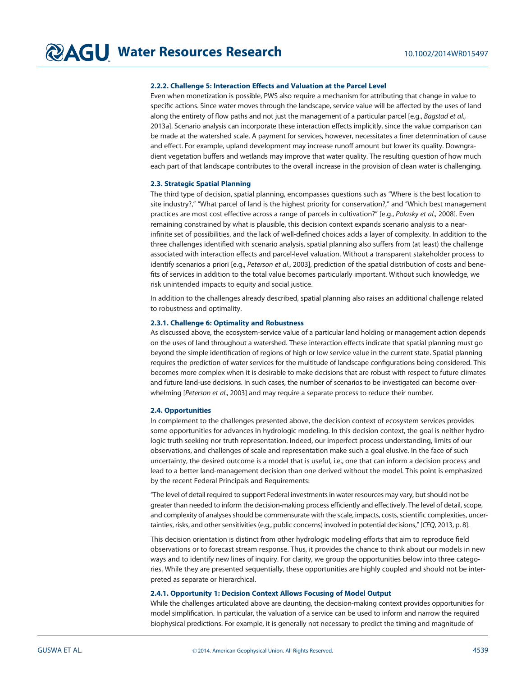#### 2.2.2. Challenge 5: Interaction Effects and Valuation at the Parcel Level

Even when monetization is possible, PWS also require a mechanism for attributing that change in value to specific actions. Since water moves through the landscape, service value will be affected by the uses of land along the entirety of flow paths and not just the management of a particular parcel [e.g., Bagstad et al., 2013a]. Scenario analysis can incorporate these interaction effects implicitly, since the value comparison can be made at the watershed scale. A payment for services, however, necessitates a finer determination of cause and effect. For example, upland development may increase runoff amount but lower its quality. Downgradient vegetation buffers and wetlands may improve that water quality. The resulting question of how much each part of that landscape contributes to the overall increase in the provision of clean water is challenging.

#### 2.3. Strategic Spatial Planning

The third type of decision, spatial planning, encompasses questions such as ''Where is the best location to site industry?,'' ''What parcel of land is the highest priority for conservation?,'' and ''Which best management practices are most cost effective across a range of parcels in cultivation?" [e.g., Polasky et al., 2008]. Even remaining constrained by what is plausible, this decision context expands scenario analysis to a nearinfinite set of possibilities, and the lack of well-defined choices adds a layer of complexity. In addition to the three challenges identified with scenario analysis, spatial planning also suffers from (at least) the challenge associated with interaction effects and parcel-level valuation. Without a transparent stakeholder process to identify scenarios a priori [e.g., Peterson et al., 2003], prediction of the spatial distribution of costs and benefits of services in addition to the total value becomes particularly important. Without such knowledge, we risk unintended impacts to equity and social justice.

In addition to the challenges already described, spatial planning also raises an additional challenge related to robustness and optimality.

#### 2.3.1. Challenge 6: Optimality and Robustness

As discussed above, the ecosystem-service value of a particular land holding or management action depends on the uses of land throughout a watershed. These interaction effects indicate that spatial planning must go beyond the simple identification of regions of high or low service value in the current state. Spatial planning requires the prediction of water services for the multitude of landscape configurations being considered. This becomes more complex when it is desirable to make decisions that are robust with respect to future climates and future land-use decisions. In such cases, the number of scenarios to be investigated can become overwhelming [Peterson et al., 2003] and may require a separate process to reduce their number.

#### 2.4. Opportunities

In complement to the challenges presented above, the decision context of ecosystem services provides some opportunities for advances in hydrologic modeling. In this decision context, the goal is neither hydrologic truth seeking nor truth representation. Indeed, our imperfect process understanding, limits of our observations, and challenges of scale and representation make such a goal elusive. In the face of such uncertainty, the desired outcome is a model that is useful, i.e., one that can inform a decision process and lead to a better land-management decision than one derived without the model. This point is emphasized by the recent Federal Principals and Requirements:

''The level of detail required to support Federal investments in water resources may vary, but should not be greater than needed to inform the decision-making process efficiently and effectively. The level of detail, scope, and complexity of analyses should be commensurate with the scale, impacts, costs, scientific complexities, uncertainties, risks, and other sensitivities (e.g., public concerns) involved in potential decisions," [CEQ, 2013, p. 8].

This decision orientation is distinct from other hydrologic modeling efforts that aim to reproduce field observations or to forecast stream response. Thus, it provides the chance to think about our models in new ways and to identify new lines of inquiry. For clarity, we group the opportunities below into three categories. While they are presented sequentially, these opportunities are highly coupled and should not be interpreted as separate or hierarchical.

#### 2.4.1. Opportunity 1: Decision Context Allows Focusing of Model Output

While the challenges articulated above are daunting, the decision-making context provides opportunities for model simplification. In particular, the valuation of a service can be used to inform and narrow the required biophysical predictions. For example, it is generally not necessary to predict the timing and magnitude of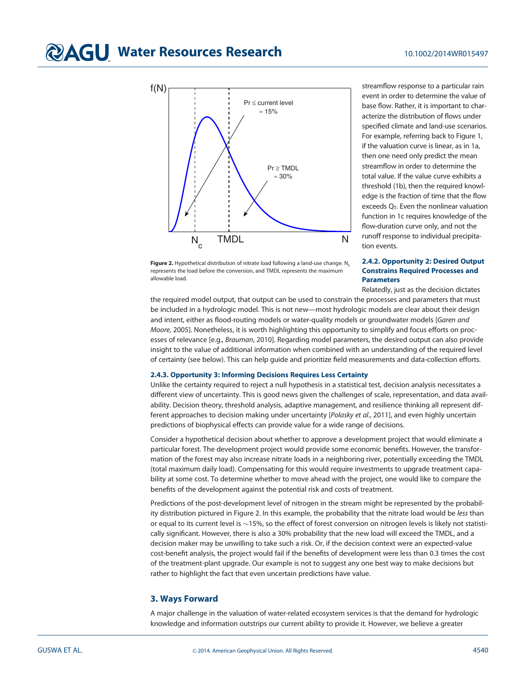

**Figure 2.** Hypothetical distribution of nitrate load following a land-use change. N<sub>c</sub> represents the load before the conversion, and TMDL represents the maximum allowable load.

streamflow response to a particular rain event in order to determine the value of base flow. Rather, it is important to characterize the distribution of flows under specified climate and land-use scenarios. For example, referring back to Figure 1, if the valuation curve is linear, as in 1a, then one need only predict the mean streamflow in order to determine the total value. If the value curve exhibits a threshold (1b), then the required knowledge is the fraction of time that the flow exceeds  $Q_T$ . Even the nonlinear valuation function in 1c requires knowledge of the flow-duration curve only, and not the runoff response to individual precipitation events.

#### 2.4.2. Opportunity 2: Desired Output Constrains Required Processes and **Parameters**

Relatedly, just as the decision dictates

the required model output, that output can be used to constrain the processes and parameters that must be included in a hydrologic model. This is not new—most hydrologic models are clear about their design and intent, either as flood-routing models or water-quality models or groundwater models [Garen and Moore, 2005]. Nonetheless, it is worth highlighting this opportunity to simplify and focus efforts on processes of relevance [e.g., Brauman, 2010]. Regarding model parameters, the desired output can also provide insight to the value of additional information when combined with an understanding of the required level of certainty (see below). This can help guide and prioritize field measurements and data-collection efforts.

#### 2.4.3. Opportunity 3: Informing Decisions Requires Less Certainty

Unlike the certainty required to reject a null hypothesis in a statistical test, decision analysis necessitates a different view of uncertainty. This is good news given the challenges of scale, representation, and data availability. Decision theory, threshold analysis, adaptive management, and resilience thinking all represent different approaches to decision making under uncertainty [Polasky et al., 2011], and even highly uncertain predictions of biophysical effects can provide value for a wide range of decisions.

Consider a hypothetical decision about whether to approve a development project that would eliminate a particular forest. The development project would provide some economic benefits. However, the transformation of the forest may also increase nitrate loads in a neighboring river, potentially exceeding the TMDL (total maximum daily load). Compensating for this would require investments to upgrade treatment capability at some cost. To determine whether to move ahead with the project, one would like to compare the benefits of the development against the potential risk and costs of treatment.

Predictions of the post-development level of nitrogen in the stream might be represented by the probability distribution pictured in Figure 2. In this example, the probability that the nitrate load would be less than or equal to its current level is  $\sim$ 15%, so the effect of forest conversion on nitrogen levels is likely not statistically significant. However, there is also a 30% probability that the new load will exceed the TMDL, and a decision maker may be unwilling to take such a risk. Or, if the decision context were an expected-value cost-benefit analysis, the project would fail if the benefits of development were less than 0.3 times the cost of the treatment-plant upgrade. Our example is not to suggest any one best way to make decisions but rather to highlight the fact that even uncertain predictions have value.

### 3. Ways Forward

A major challenge in the valuation of water-related ecosystem services is that the demand for hydrologic knowledge and information outstrips our current ability to provide it. However, we believe a greater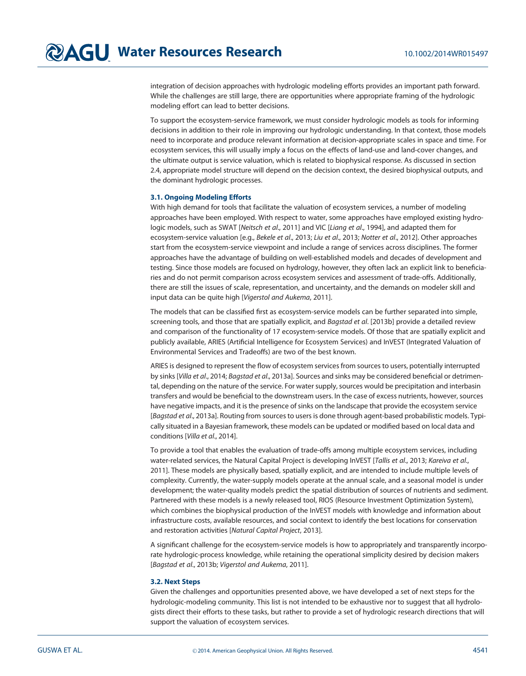integration of decision approaches with hydrologic modeling efforts provides an important path forward. While the challenges are still large, there are opportunities where appropriate framing of the hydrologic modeling effort can lead to better decisions.

To support the ecosystem-service framework, we must consider hydrologic models as tools for informing decisions in addition to their role in improving our hydrologic understanding. In that context, those models need to incorporate and produce relevant information at decision-appropriate scales in space and time. For ecosystem services, this will usually imply a focus on the effects of land-use and land-cover changes, and the ultimate output is service valuation, which is related to biophysical response. As discussed in section 2.4, appropriate model structure will depend on the decision context, the desired biophysical outputs, and the dominant hydrologic processes.

#### 3.1. Ongoing Modeling Efforts

With high demand for tools that facilitate the valuation of ecosystem services, a number of modeling approaches have been employed. With respect to water, some approaches have employed existing hydrologic models, such as SWAT [Neitsch et al., 2011] and VIC [Liang et al., 1994], and adapted them for ecosystem-service valuation [e.g., Bekele et al., 2013; Liu et al., 2013; Notter et al., 2012]. Other approaches start from the ecosystem-service viewpoint and include a range of services across disciplines. The former approaches have the advantage of building on well-established models and decades of development and testing. Since those models are focused on hydrology, however, they often lack an explicit link to beneficiaries and do not permit comparison across ecosystem services and assessment of trade-offs. Additionally, there are still the issues of scale, representation, and uncertainty, and the demands on modeler skill and input data can be quite high [Vigerstol and Aukema, 2011].

The models that can be classified first as ecosystem-service models can be further separated into simple, screening tools, and those that are spatially explicit, and Bagstad et al. [2013b] provide a detailed review and comparison of the functionality of 17 ecosystem-service models. Of those that are spatially explicit and publicly available, ARIES (Artificial Intelligence for Ecosystem Services) and InVEST (Integrated Valuation of Environmental Services and Tradeoffs) are two of the best known.

ARIES is designed to represent the flow of ecosystem services from sources to users, potentially interrupted by sinks [Villa et al., 2014; Bagstad et al., 2013a]. Sources and sinks may be considered beneficial or detrimental, depending on the nature of the service. For water supply, sources would be precipitation and interbasin transfers and would be beneficial to the downstream users. In the case of excess nutrients, however, sources have negative impacts, and it is the presence of sinks on the landscape that provide the ecosystem service [Bagstad et al., 2013a]. Routing from sources to users is done through agent-based probabilistic models. Typically situated in a Bayesian framework, these models can be updated or modified based on local data and conditions [Villa et al., 2014].

To provide a tool that enables the evaluation of trade-offs among multiple ecosystem services, including water-related services, the Natural Capital Project is developing InVEST [Tallis et al., 2013; Kareiva et al., 2011]. These models are physically based, spatially explicit, and are intended to include multiple levels of complexity. Currently, the water-supply models operate at the annual scale, and a seasonal model is under development; the water-quality models predict the spatial distribution of sources of nutrients and sediment. Partnered with these models is a newly released tool, RIOS (Resource Investment Optimization System), which combines the biophysical production of the InVEST models with knowledge and information about infrastructure costs, available resources, and social context to identify the best locations for conservation and restoration activities [Natural Capital Project, 2013].

A significant challenge for the ecosystem-service models is how to appropriately and transparently incorporate hydrologic-process knowledge, while retaining the operational simplicity desired by decision makers [Bagstad et al., 2013b; Vigerstol and Aukema, 2011].

#### 3.2. Next Steps

Given the challenges and opportunities presented above, we have developed a set of next steps for the hydrologic-modeling community. This list is not intended to be exhaustive nor to suggest that all hydrologists direct their efforts to these tasks, but rather to provide a set of hydrologic research directions that will support the valuation of ecosystem services.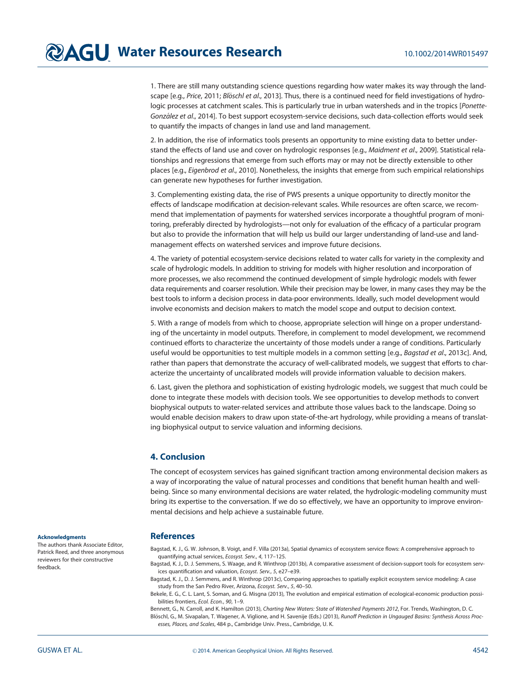1. There are still many outstanding science questions regarding how water makes its way through the landscape [e.g., Price, 2011; Blöschl et al., 2013]. Thus, there is a continued need for field investigations of hydrologic processes at catchment scales. This is particularly true in urban watersheds and in the tropics [Ponette-González et al., 2014]. To best support ecosystem-service decisions, such data-collection efforts would seek to quantify the impacts of changes in land use and land management.

2. In addition, the rise of informatics tools presents an opportunity to mine existing data to better understand the effects of land use and cover on hydrologic responses [e.g., Maidment et al., 2009]. Statistical relationships and regressions that emerge from such efforts may or may not be directly extensible to other places [e.g., Eigenbrod et al., 2010]. Nonetheless, the insights that emerge from such empirical relationships can generate new hypotheses for further investigation.

3. Complementing existing data, the rise of PWS presents a unique opportunity to directly monitor the effects of landscape modification at decision-relevant scales. While resources are often scarce, we recommend that implementation of payments for watershed services incorporate a thoughtful program of monitoring, preferably directed by hydrologists—not only for evaluation of the efficacy of a particular program but also to provide the information that will help us build our larger understanding of land-use and landmanagement effects on watershed services and improve future decisions.

4. The variety of potential ecosystem-service decisions related to water calls for variety in the complexity and scale of hydrologic models. In addition to striving for models with higher resolution and incorporation of more processes, we also recommend the continued development of simple hydrologic models with fewer data requirements and coarser resolution. While their precision may be lower, in many cases they may be the best tools to inform a decision process in data-poor environments. Ideally, such model development would involve economists and decision makers to match the model scope and output to decision context.

5. With a range of models from which to choose, appropriate selection will hinge on a proper understanding of the uncertainty in model outputs. Therefore, in complement to model development, we recommend continued efforts to characterize the uncertainty of those models under a range of conditions. Particularly useful would be opportunities to test multiple models in a common setting [e.g., Bagstad et al., 2013c]. And, rather than papers that demonstrate the accuracy of well-calibrated models, we suggest that efforts to characterize the uncertainty of uncalibrated models will provide information valuable to decision makers.

6. Last, given the plethora and sophistication of existing hydrologic models, we suggest that much could be done to integrate these models with decision tools. We see opportunities to develop methods to convert biophysical outputs to water-related services and attribute those values back to the landscape. Doing so would enable decision makers to draw upon state-of-the-art hydrology, while providing a means of translating biophysical output to service valuation and informing decisions.

### 4. Conclusion

The concept of ecosystem services has gained significant traction among environmental decision makers as a way of incorporating the value of natural processes and conditions that benefit human health and wellbeing. Since so many environmental decisions are water related, the hydrologic-modeling community must bring its expertise to the conversation. If we do so effectively, we have an opportunity to improve environmental decisions and help achieve a sustainable future.

#### References

Bagstad, K. J., G. W. Johnson, B. Voigt, and F. Villa (2013a), Spatial dynamics of ecosystem service flows: A comprehensive approach to quantifying actual services, Ecosyst. Serv., 4, 117–125.

Bagstad, K. J., D. J. Semmens, S. Waage, and R. Winthrop (2013b), A comparative assessment of decision-support tools for ecosystem services quantification and valuation, Ecosyst. Serv., 5, e27–e39.

Bagstad, K. J., D. J. Semmens, and R. Winthrop (2013c), Comparing approaches to spatially explicit ecosystem service modeling: A case study from the San Pedro River, Arizona, Ecosyst. Serv., 5, 40–50.

Bekele, E. G., C. L. Lant, S. Soman, and G. Misgna (2013), The evolution and empirical estimation of ecological-economic production possibilities frontiers, Ecol. Econ., 90, 1-9.

Bennett, G., N. Carroll, and K. Hamilton (2013), Charting New Waters: State of Watershed Payments 2012, For. Trends, Washington, D. C. Blöschl, G., M. Sivapalan, T. Wagener, A. Viglione, and H. Savenije (Eds.) (2013), Runoff Prediction in Ungauged Basins: Synthesis Across Processes, Places, and Scales, 484 p., Cambridge Univ. Press., Cambridge, U. K.

#### **Acknowledaments**

The authors thank Associate Editor, Patrick Reed, and three anonymous reviewers for their constructive feedback.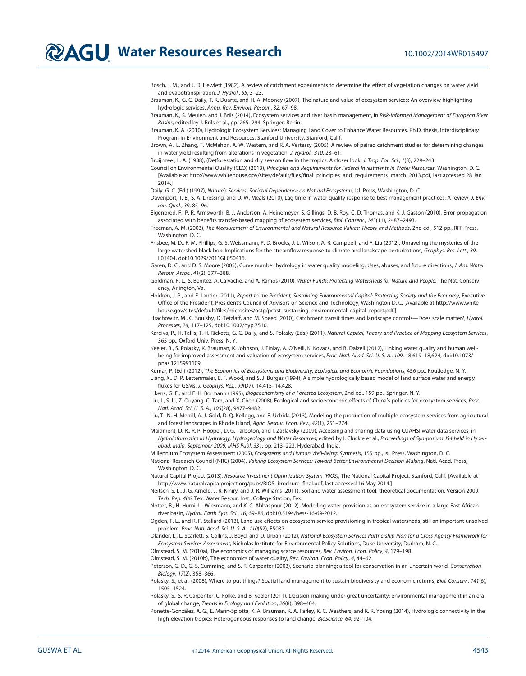Bosch, J. M., and J. D. Hewlett (1982), A review of catchment experiments to determine the effect of vegetation changes on water yield and evapotranspiration, J. Hydrol., 55, 3–23.

Brauman, K., G. C. Daily, T. K. Duarte, and H. A. Mooney (2007), The nature and value of ecosystem services: An overview highlighting hydrologic services, Annu. Rev. Environ. Resour., 32, 67–98.

Brauman, K., S. Meulen, and J. Brils (2014), Ecosystem services and river basin management, in Risk-Informed Management of European River Basins, edited by J. Brils et al., pp. 265–294, Springer, Berlin.

- Brauman, K. A. (2010), Hydrologic Ecosystem Services: Managing Land Cover to Enhance Water Resources, Ph.D. thesis, Interdisciplinary Program in Environment and Resources, Stanford University, Stanford, Calif.
- Brown, A., L. Zhang, T. McMahon, A. W. Western, and R. A. Vertessy (2005), A review of paired catchment studies for determining changes in water yield resulting from alterations in vegetation, J. Hydrol., 310, 28–61.

Bruijnzeel, L. A. (1988), (De)forestation and dry season flow in the tropics: A closer look, J. Trop. For. Sci., 1(3), 229-243.

- Council on Environmental Quality (CEQ) (2013), Principles and Requirements for Federal Investments in Water Resources, Washington, D. C. [Available at [http://www.whitehouse.gov/sites/default/files/final\\_principles\\_and\\_requirements\\_march\\_2013.pdf,](http://www.whitehouse.gov/sites/default/files/final_principles_and_requirements_march_2013.pdf) last accessed 28 Jan 2014.]
- Daily, G. C. (Ed.) (1997), Nature's Services: Societal Dependence on Natural Ecosystems, Isl. Press, Washington, D. C.

Davenport, T. E., S. A. Dressing, and D. W. Meals (2010), Lag time in water quality response to best management practices: A review, J. Environ. Qual., 39, 85–96.

Eigenbrod, F., P. R. Armsworth, B. J. Anderson, A. Heinemeyer, S. Gillings, D. B. Roy, C. D. Thomas, and K. J. Gaston (2010), Error-propagation associated with benefits transfer-based mapping of ecosystem services, Biol. Conserv., 143(11), 2487–2493.

Freeman, A. M. (2003), The Measurement of Environmental and Natural Resource Values: Theory and Methods, 2nd ed., 512 pp., RFF Press, Washington, D. C.

- Frisbee, M. D., F. M. Phillips, G. S. Weissmann, P. D. Brooks, J. L. Wilson, A. R. Campbell, and F. Liu (2012), Unraveling the mysteries of the large watershed black box: Implications for the streamflow response to climate and landscape perturbations, Geophys. Res. Lett., 39, L01404, doi[:10.1029/2011GL050416](http://dx.doi.org/10.1029/2011GL050416).
- Garen, D. C., and D. S. Moore (2005), Curve number hydrology in water quality modeling: Uses, abuses, and future directions, J. Am. Water Resour. Assoc., 41(2), 377–388.
- Goldman, R. L., S. Benitez, A. Calvache, and A. Ramos (2010), Water Funds: Protecting Watersheds for Nature and People, The Nat. Conservancy, Arlington, Va.
- Holdren, J. P., and E. Lander (2011), Report to the President, Sustaining Environmental Capital: Protecting Society and the Economy, Executive Office of the President, President's Council of Advisors on Science and Technology, Washington D. C. [Available at [http://www.white](http://www.whitehouse.gov/sites/default/files/microsites/ostp/pcast_sustaining_environmental_capital_report.pdf)[house.gov/sites/default/files/microsites/ostp/pcast\\_sustaining\\_environmental\\_capital\\_report.pdf.](http://www.whitehouse.gov/sites/default/files/microsites/ostp/pcast_sustaining_environmental_capital_report.pdf)]

Hrachowitz, M., C. Soulsby, D. Tetzlaff, and M. Speed (2010), Catchment transit times and landscape controls—Does scale matter?, Hydrol. Processes, 24, 117–125, doi:[10.1002/hyp.7510.](http://dx.doi.org/10.1002/hyp.7510)

Kareiva, P., H. Tallis, T. H. Ricketts, G. C. Daily, and S. Polasky (Eds.) (2011), Natural Capital, Theory and Practice of Mapping Ecosystem Services, 365 pp., Oxford Univ. Press, N. Y.

Keeler, B., S. Polasky, K. Brauman, K. Johnson, J. Finlay, A. O'Neill, K. Kovacs, and B. Dalzell (2012), Linking water quality and human wellbeing for improved assessment and valuation of ecosystem services, Proc. Natl. Acad. Sci. U. S. A., 109, 18,619–18,624, doi:[10.1073/](http://dx.doi.org/10.1073/pnas.1215991109) [pnas.1215991109](http://dx.doi.org/10.1073/pnas.1215991109).

Kumar, P. (Ed.) (2012), The Economics of Ecosystems and Biodiversity: Ecological and Economic Foundations, 456 pp., Routledge, N. Y.

Liang, X., D. P. Lettenmaier, E. F. Wood, and S. J. Burges (1994), A simple hydrologically based model of land surface water and energy fluxes for GSMs, J. Geophys. Res., 99(D7), 14,415–14,428.

Likens, G. E., and F. H. Bormann (1995), *Biogeochemistry of a Forested Ecosystem*, 2nd ed., 159 pp., Springer, N. Y.

Liu, J., S. Li, Z. Ouyang, C. Tam, and X. Chen (2008), Ecological and socioeconomic effects of China's policies for ecosystem services, Proc. Natl. Acad. Sci. U. S. A., 105(28), 9477–9482.

Liu, T., N. H. Merrill, A. J. Gold, D. Q. Kellogg, and E. Uchida (2013), Modeling the production of multiple ecosystem services from agricultural and forest landscapes in Rhode Island, Agric. Resour. Econ. Rev., 42(1), 251–274.

Maidment, D. R., R. P. Hooper, D. G. Tarboton, and I. Zaslavsky (2009), Accessing and sharing data using CUAHSI water data services, in Hydroinformatics in Hydrology, Hydrogeology and Water Resources, edited by I. Cluckie et al., Proceedings of Symposium JS4 held in Hyderabad, India, September 2009, IAHS Publ. 331, pp. 213–223, Hyderabad, India.

Millennium Ecosystem Assessment (2005), Ecosystems and Human Well-Being: Synthesis, 155 pp., Isl. Press, Washington, D. C.

National Research Council (NRC) (2004), Valuing Ecosystem Services: Toward Better Environmental Decision-Making, Natl. Acad. Press, Washington, D. C.

Natural Capital Project (2013), Resource Investment Optimization System (RIOS), The National Capital Project, Stanford, Calif. [Available at [http://www.naturalcapitalproject.org/pubs/RIOS\\_brochure\\_final.pdf](http://www.naturalcapitalproject.org/pubs/RIOS_brochure_final.pdf), last accessed 16 May 2014.]

Notter, B., H. Hurni, U. Wiesmann, and K. C. Abbaspour (2012), Modelling water provision as an ecosystem service in a large East African river basin, Hydrol. Earth Syst. Sci., 16, 69–86, doi[:10.5194/hess-16-69-2012.](http://dx.doi.org/10.5194/hess-16-69-2012)

Ogden, F. L., and R. F. Stallard (2013), Land use effects on ecosystem service provisioning in tropical watersheds, still an important unsolved problem, Proc. Natl. Acad. Sci. U. S. A., 110(52), E5037.

Olander, L., L. Scarlett, S. Collins, J. Boyd, and D. Urban (2012), National Ecosystem Services Partnership Plan for a Cross Agency Framework for Ecosystem Services Assessment, Nicholas Institute for Environmental Policy Solutions, Duke University, Durham, N. C.

Olmstead, S. M. (2010a), The economics of managing scarce resources, Rev. Environ. Econ. Policy, 4, 179–198.

Olmstead, S. M. (2010b), The economics of water quality, Rev. Environ. Econ. Policy, 4, 44-62.

Peterson, G. D., G. S. Cumming, and S. R. Carpenter (2003), Scenario planning: a tool for conservation in an uncertain world, Conservation Biology, 17(2), 358–366.

Polasky, S., et al. (2008), Where to put things? Spatial land management to sustain biodiversity and economic returns, Biol. Conserv., 141(6), 1505–1524.

Polasky, S., S. R. Carpenter, C. Folke, and B. Keeler (2011), Decision-making under great uncertainty: environmental management in an era of global change, Trends in Ecology and Evolution, 26(8), 398–404.

Ponette-González, A. G., E. Marín-Spiotta, K. A. Brauman, K. A. Farley, K. C. Weathers, and K. R. Young (2014), Hydrologic connectivity in the high-elevation tropics: Heterogeneous responses to land change, BioScience, 64, 92-104.

Neitsch, S. L., J. G. Arnold, J. R. Kiniry, and J. R. Williams (2011), Soil and water assessment tool, theoretical documentation, Version 2009, Tech. Rep. 406, Tex. Water Resour. Inst., College Station, Tex.